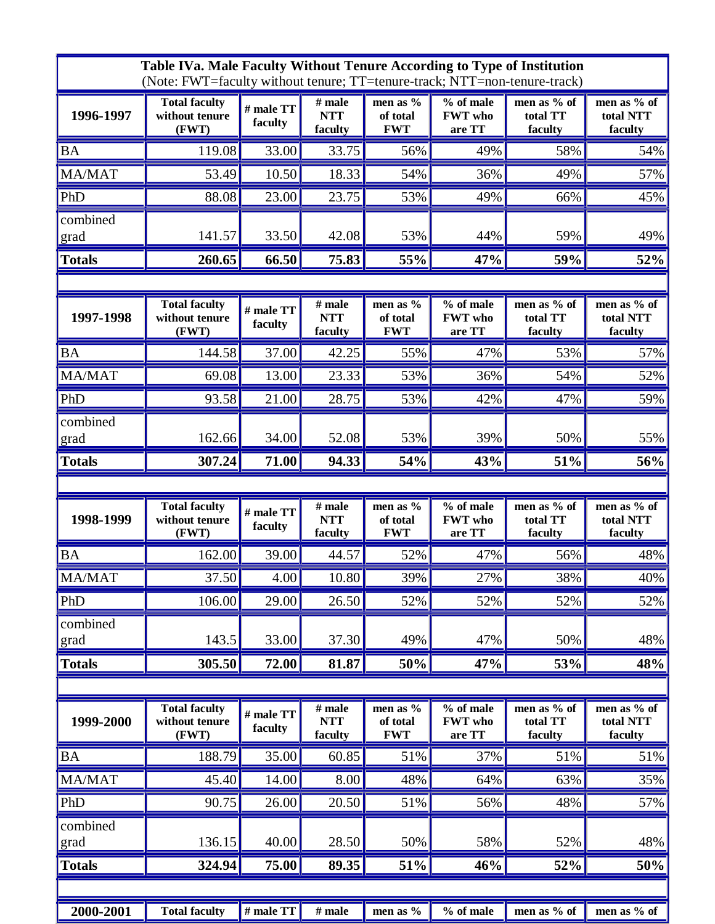| Table IVa. Male Faculty Without Tenure According to Type of Institution<br>(Note: FWT=faculty without tenure; TT=tenure-track; NTT=non-tenure-track) |                                                 |                      |                                   |                                    |                                       |                                    |                                     |  |  |
|------------------------------------------------------------------------------------------------------------------------------------------------------|-------------------------------------------------|----------------------|-----------------------------------|------------------------------------|---------------------------------------|------------------------------------|-------------------------------------|--|--|
| 1996-1997                                                                                                                                            | <b>Total faculty</b><br>without tenure<br>(FWT) | # male TT<br>faculty | $#$ male<br><b>NTT</b><br>faculty | men as %<br>of total<br><b>FWT</b> | % of male<br><b>FWT</b> who<br>are TT | men as % of<br>total TT<br>faculty | men as % of<br>total NTT<br>faculty |  |  |
| BA                                                                                                                                                   | 119.08                                          | 33.00                | 33.75                             | 56%                                | 49%                                   | 58%                                | 54%                                 |  |  |
| <b>MA/MAT</b>                                                                                                                                        | 53.49                                           | 10.50                | 18.33                             | 54%                                | 36%                                   | 49%                                | 57%                                 |  |  |
| PhD                                                                                                                                                  | 88.08                                           | 23.00                | 23.75                             | 53%                                | 49%                                   | 66%                                | 45%                                 |  |  |
| combined<br>grad                                                                                                                                     | 141.57                                          | 33.50                | 42.08                             | 53%                                | 44%                                   | 59%                                | 49%                                 |  |  |
| <b>Totals</b>                                                                                                                                        | 260.65                                          | 66.50                | 75.83                             | 55%                                | 47%                                   | 59%                                | 52%                                 |  |  |
|                                                                                                                                                      |                                                 |                      |                                   |                                    |                                       |                                    |                                     |  |  |
| 1997-1998                                                                                                                                            | <b>Total faculty</b><br>without tenure<br>(FWT) | # male TT<br>faculty | $#$ male<br><b>NTT</b><br>faculty | men as %<br>of total<br><b>FWT</b> | % of male<br><b>FWT</b> who<br>are TT | men as % of<br>total TT<br>faculty | men as % of<br>total NTT<br>faculty |  |  |
| <b>BA</b>                                                                                                                                            | 144.58                                          | 37.00                | 42.25                             | 55%                                | 47%                                   | 53%                                | 57%                                 |  |  |
| MA/MAT                                                                                                                                               | 69.08                                           | 13.00                | 23.33                             | 53%                                | 36%                                   | 54%                                | 52%                                 |  |  |
| PhD                                                                                                                                                  | 93.58                                           | 21.00                | 28.75                             | 53%                                | 42%                                   | 47%                                | 59%                                 |  |  |
| combined<br>grad                                                                                                                                     | 162.66                                          | 34.00                | 52.08                             | 53%                                | 39%                                   | 50%                                | 55%                                 |  |  |
| <b>Totals</b>                                                                                                                                        | 307.24                                          | 71.00                | 94.33                             | 54%                                | 43%                                   | 51%                                | 56%                                 |  |  |
|                                                                                                                                                      |                                                 |                      |                                   |                                    |                                       |                                    |                                     |  |  |
|                                                                                                                                                      |                                                 |                      |                                   |                                    |                                       |                                    |                                     |  |  |
| 1998-1999                                                                                                                                            | <b>Total faculty</b><br>without tenure<br>(FWT) | # male TT<br>faculty | $#$ male<br><b>NTT</b><br>faculty | men as %<br>of total<br><b>FWT</b> | % of male<br><b>FWT</b> who<br>are TT | men as % of<br>total TT<br>faculty | men as % of<br>total NTT<br>faculty |  |  |
| <b>BA</b>                                                                                                                                            | 162.00                                          | 39.00                | 44.57                             | 52%                                | 47%                                   | 56%                                | 48%                                 |  |  |
| MA/MAT                                                                                                                                               | 37.50                                           | 4.00                 | 10.80                             | 39%                                | 27%                                   | 38%                                | 40%                                 |  |  |
| PhD                                                                                                                                                  | 106.00                                          | 29.00                | 26.50                             | 52%                                | 52%                                   | 52%                                | 52%                                 |  |  |
| combined<br>grad                                                                                                                                     | 143.5                                           | 33.00                | 37.30                             | 49%                                | 47%                                   | 50%                                | 48%                                 |  |  |
| <b>Totals</b>                                                                                                                                        | 305.50                                          | 72.00                | 81.87                             | 50%                                | 47%                                   | 53%                                | 48%                                 |  |  |
|                                                                                                                                                      |                                                 |                      |                                   |                                    |                                       |                                    |                                     |  |  |
| 1999-2000                                                                                                                                            | <b>Total faculty</b><br>without tenure<br>(FWT) | # male TT<br>faculty | $#$ male<br><b>NTT</b><br>faculty | men as %<br>of total<br><b>FWT</b> | % of male<br><b>FWT</b> who<br>are TT | men as % of<br>total TT<br>faculty | men as % of<br>total NTT<br>faculty |  |  |
| <b>BA</b>                                                                                                                                            | 188.79                                          | 35.00                | 60.85                             | 51%                                | 37%                                   | 51%                                | 51%                                 |  |  |
| MA/MAT                                                                                                                                               | 45.40                                           | 14.00                | 8.00                              | 48%                                | 64%                                   | 63%                                | 35%                                 |  |  |
| PhD                                                                                                                                                  | 90.75                                           | 26.00                | 20.50                             | 51%                                | 56%                                   | 48%                                | 57%                                 |  |  |
| combined<br>grad                                                                                                                                     | 136.15                                          | 40.00                | 28.50                             | 50%                                | 58%                                   | 52%                                | 48%                                 |  |  |
| <b>Totals</b>                                                                                                                                        | 324.94                                          | 75.00                | 89.35                             | 51%                                | 46%                                   | 52%                                |                                     |  |  |
|                                                                                                                                                      |                                                 |                      |                                   |                                    |                                       |                                    | 50%                                 |  |  |